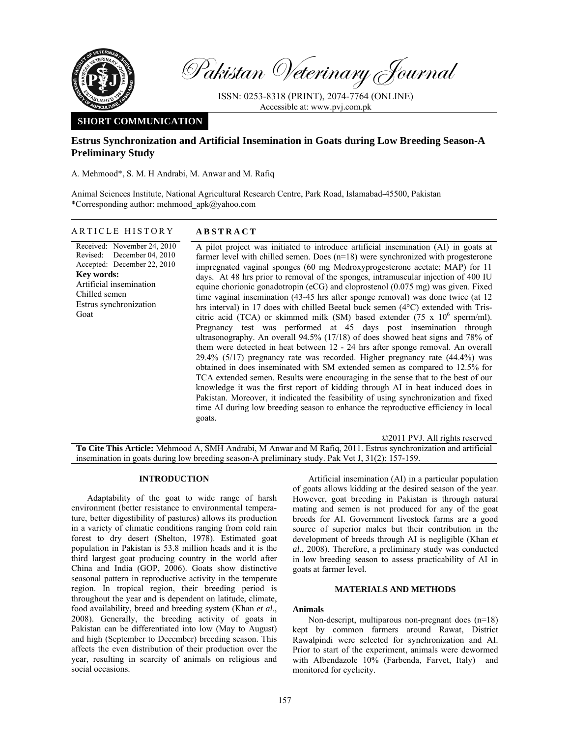

Pakistan Veterinary Journal

ISSN: 0253-8318 (PRINT), 2074-7764 (ONLINE) Accessible at: www.pvj.com.pk

# **SHORT COMMUNICATION**

# **Estrus Synchronization and Artificial Insemination in Goats during Low Breeding Season-A Preliminary Study**

A. Mehmood\*, S. M. H Andrabi, M. Anwar and M. Rafiq

Animal Sciences Institute, National Agricultural Research Centre, Park Road, Islamabad-45500, Pakistan \*Corresponding author: mehmood\_apk@yahoo.com

# ARTICLE HISTORY **ABSTRACT**

## Received: November 24, 2010 Revised: Accepted: December 22, 2010 December 04, 2010 **Key words:**  Artificial insemination Chilled semen Estrus synchronization Goat

A pilot project was initiated to introduce artificial insemination (AI) in goats at farmer level with chilled semen. Does (n=18) were synchronized with progesterone impregnated vaginal sponges (60 mg Medroxyprogesterone acetate; MAP) for 11 days. At 48 hrs prior to removal of the sponges, intramuscular injection of 400 IU equine chorionic gonadotropin (eCG) and cloprostenol (0.075 mg) was given. Fixed time vaginal insemination (43-45 hrs after sponge removal) was done twice (at 12 hrs interval) in 17 does with chilled Beetal buck semen (4°C) extended with Triscitric acid (TCA) or skimmed milk (SM) based extender (75 x  $10^6$  sperm/ml). Pregnancy test was performed at 45 days post insemination through ultrasonography. An overall 94.5% (17/18) of does showed heat signs and 78% of them were detected in heat between 12 - 24 hrs after sponge removal. An overall 29.4% (5/17) pregnancy rate was recorded. Higher pregnancy rate (44.4%) was obtained in does inseminated with SM extended semen as compared to 12.5% for TCA extended semen. Results were encouraging in the sense that to the best of our knowledge it was the first report of kidding through AI in heat induced does in Pakistan. Moreover, it indicated the feasibility of using synchronization and fixed time AI during low breeding season to enhance the reproductive efficiency in local goats.

©2011 PVJ. All rights reserved

**To Cite This Article:** Mehmood A, SMH Andrabi, M Anwar and M Rafiq, 2011. Estrus synchronization and artificial insemination in goats during low breeding season-A preliminary study. Pak Vet J, 31(2): 157-159.

# **INTRODUCTION**

Adaptability of the goat to wide range of harsh environment (better resistance to environmental temperature, better digestibility of pastures) allows its production in a variety of climatic conditions ranging from cold rain forest to dry desert (Shelton, 1978). Estimated goat population in Pakistan is 53.8 million heads and it is the third largest goat producing country in the world after China and India (GOP, 2006). Goats show distinctive seasonal pattern in reproductive activity in the temperate region. In tropical region, their breeding period is throughout the year and is dependent on latitude, climate, food availability, breed and breeding system (Khan *et al*., 2008). Generally, the breeding activity of goats in Pakistan can be differentiated into low (May to August) and high (September to December) breeding season. This affects the even distribution of their production over the year, resulting in scarcity of animals on religious and social occasions.

Artificial insemination (AI) in a particular population of goats allows kidding at the desired season of the year. However, goat breeding in Pakistan is through natural mating and semen is not produced for any of the goat breeds for AI. Government livestock farms are a good source of superior males but their contribution in the development of breeds through AI is negligible (Khan *et al*., 2008). Therefore, a preliminary study was conducted in low breeding season to assess practicability of AI in goats at farmer level.

# **MATERIALS AND METHODS**

# **Animals**

Non-descript, multiparous non-pregnant does (n=18) kept by common farmers around Rawat, District Rawalpindi were selected for synchronization and AI. Prior to start of the experiment, animals were dewormed with Albendazole 10% (Farbenda, Farvet, Italy) and monitored for cyclicity.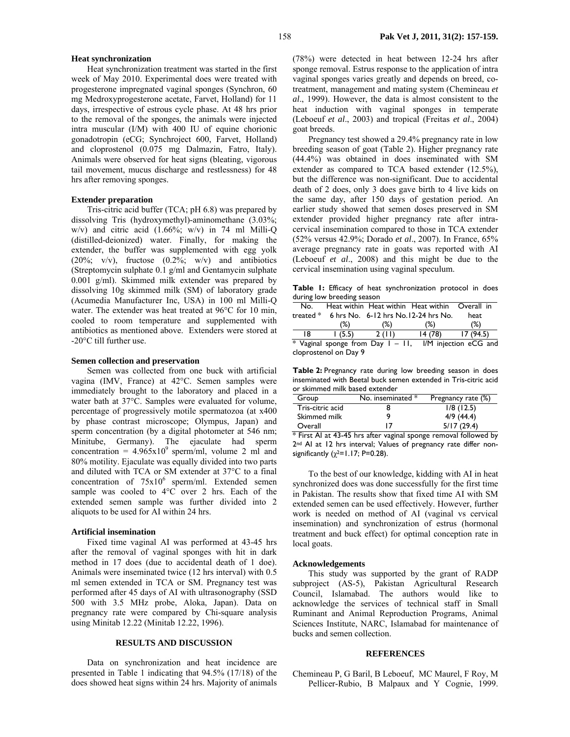#### **Heat synchronization**

Heat synchronization treatment was started in the first week of May 2010. Experimental does were treated with progesterone impregnated vaginal sponges (Synchron, 60 mg Medroxyprogesterone acetate, Farvet, Holland) for 11 days, irrespective of estrous cycle phase. At 48 hrs prior to the removal of the sponges, the animals were injected intra muscular (I/M) with 400 IU of equine chorionic gonadotropin (eCG; Synchroject 600, Farvet, Holland) and cloprostenol (0.075 mg Dalmazin, Fatro, Italy). Animals were observed for heat signs (bleating, vigorous tail movement, mucus discharge and restlessness) for 48 hrs after removing sponges.

## **Extender preparation**

Tris-citric acid buffer (TCA; pH 6.8) was prepared by dissolving Tris (hydroxymethyl)-aminomethane (3.03%; w/v) and citric acid  $(1.66\%; w/v)$  in 74 ml Milli-Q (distilled-deionized) water. Finally, for making the extender, the buffer was supplemented with egg yolk  $(20\%; v/v)$ , fructose  $(0.2\%; w/v)$  and antibiotics (Streptomycin sulphate 0.1 g/ml and Gentamycin sulphate 0.001 g/ml). Skimmed milk extender was prepared by dissolving 10g skimmed milk (SM) of laboratory grade (Acumedia Manufacturer Inc, USA) in 100 ml Milli-Q water. The extender was heat treated at 96°C for 10 min, cooled to room temperature and supplemented with antibiotics as mentioned above. Extenders were stored at -20°C till further use.

#### **Semen collection and preservation**

Semen was collected from one buck with artificial vagina (IMV, France) at 42°C. Semen samples were immediately brought to the laboratory and placed in a water bath at 37°C. Samples were evaluated for volume, percentage of progressively motile spermatozoa (at x400 by phase contrast microscope; Olympus, Japan) and sperm concentration (by a digital photometer at 546 nm; Minitube, Germany). The ejaculate had sperm concentration =  $4.965 \times 10^{9}$  sperm/ml, volume 2 ml and 80% motility. Ejaculate was equally divided into two parts and diluted with TCA or SM extender at 37°C to a final concentration of  $75x10^6$  sperm/ml. Extended semen sample was cooled to 4°C over 2 hrs. Each of the extended semen sample was further divided into 2 aliquots to be used for AI within 24 hrs.

#### **Artificial insemination**

Fixed time vaginal AI was performed at 43-45 hrs after the removal of vaginal sponges with hit in dark method in 17 does (due to accidental death of 1 doe). Animals were inseminated twice (12 hrs interval) with 0.5 ml semen extended in TCA or SM. Pregnancy test was performed after 45 days of AI with ultrasonography (SSD 500 with 3.5 MHz probe, Aloka, Japan). Data on pregnancy rate were compared by Chi-square analysis using Minitab 12.22 (Minitab 12.22, 1996).

# **RESULTS AND DISCUSSION**

Data on synchronization and heat incidence are presented in Table 1 indicating that 94.5% (17/18) of the does showed heat signs within 24 hrs. Majority of animals (78%) were detected in heat between 12-24 hrs after sponge removal. Estrus response to the application of intra vaginal sponges varies greatly and depends on breed, cotreatment, management and mating system (Chemineau *et al*., 1999). However, the data is almost consistent to the heat induction with vaginal sponges in temperate (Leboeuf *et al*., 2003) and tropical (Freitas *et al*., 2004) goat breeds.

Pregnancy test showed a 29.4% pregnancy rate in low breeding season of goat (Table 2). Higher pregnancy rate (44.4%) was obtained in does inseminated with SM extender as compared to TCA based extender (12.5%), but the difference was non-significant. Due to accidental death of 2 does, only 3 does gave birth to 4 live kids on the same day, after 150 days of gestation period. An earlier study showed that semen doses preserved in SM extender provided higher pregnancy rate after intracervical insemination compared to those in TCA extender (52% versus 42.9%; Dorado *et al*., 2007). In France, 65% average pregnancy rate in goats was reported with AI (Leboeuf *et al*., 2008) and this might be due to the cervical insemination using vaginal speculum.

**Table 1:** Efficacy of heat synchronization protocol in does during low breeding season

| No. |                       |        | Heat within Heat within Heat within Overall in          |          |
|-----|-----------------------|--------|---------------------------------------------------------|----------|
|     |                       |        | treated $*$ 6 hrs No. 6-12 hrs No.12-24 hrs No.         | heat     |
|     | $(\%)$                | $(\%)$ | (%)                                                     | $(\%)$   |
| 18  | (5.5)                 | 2(11)  | 14(78)                                                  | 17(94.5) |
|     |                       |        | * Vaginal sponge from Day I - II, I/M injection eCG and |          |
|     | cloprostenol on Day 9 |        |                                                         |          |

| <b>Table 2:</b> Pregnancy rate during low breeding season in does |  |  |  |
|-------------------------------------------------------------------|--|--|--|
| inseminated with Beetal buck semen extended in Tris-citric acid   |  |  |  |
| or skimmed milk based extender                                    |  |  |  |

| Group            | No. inseminated * | Pregnancy rate (%) |
|------------------|-------------------|--------------------|
| Tris-citric acid |                   | $1/8$ (12.5)       |
| Skimmed milk     |                   | $4/9$ (44.4)       |
| Overall          |                   | 5/17(29.4)         |

\* First AI at 43-45 hrs after vaginal sponge removal followed by 2nd AI at 12 hrs interval; Values of pregnancy rate differ nonsignificantly  $(\chi^2=1.17; P=0.28)$ .

To the best of our knowledge, kidding with AI in heat synchronized does was done successfully for the first time in Pakistan. The results show that fixed time AI with SM extended semen can be used effectively. However, further work is needed on method of AI (vaginal vs cervical insemination) and synchronization of estrus (hormonal treatment and buck effect) for optimal conception rate in local goats.

#### **Acknowledgements**

This study was supported by the grant of RADP subproject (AS-5), Pakistan Agricultural Research Council, Islamabad. The authors would like to acknowledge the services of technical staff in Small Ruminant and Animal Reproduction Programs, Animal Sciences Institute, NARC, Islamabad for maintenance of bucks and semen collection.

### **REFERENCES**

Chemineau P, G Baril, B Leboeuf, MC Maurel, F Roy, M Pellicer-Rubio, B Malpaux and Y Cognie, 1999.